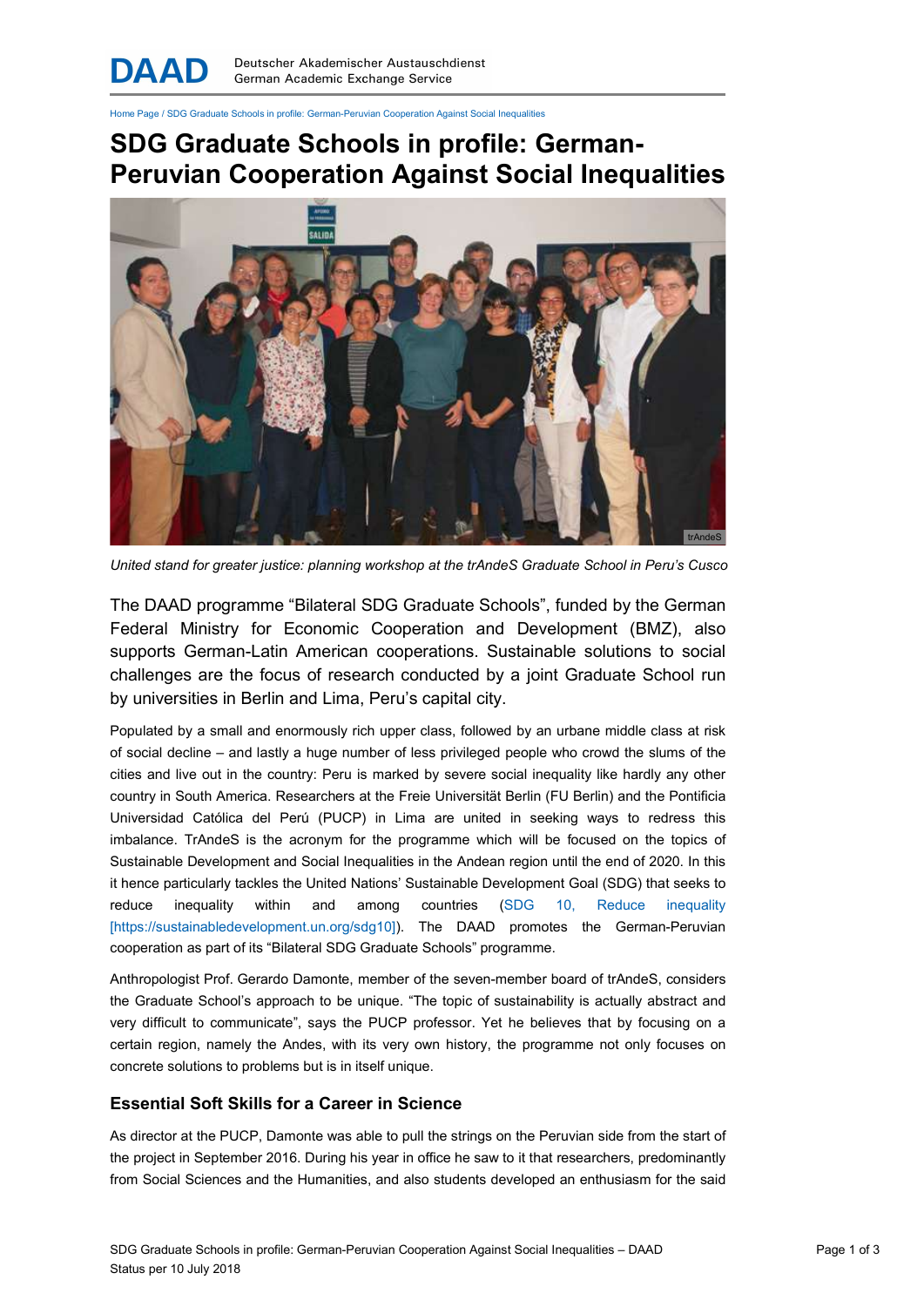Home Page / SDG Graduate Schools in profile: German-Peruvian Cooperation Against Social Inequalities

## SDG Graduate Schools in profile: German-Peruvian Cooperation Against Social Inequalities



United stand for greater justice: planning workshop at the trAndeS Graduate School in Peru's Cusco

The DAAD programme "Bilateral SDG Graduate Schools", funded by the German Federal Ministry for Economic Cooperation and Development (BMZ), also supports German-Latin American cooperations. Sustainable solutions to social challenges are the focus of research conducted by a joint Graduate School run by universities in Berlin and Lima, Peru's capital city.

Populated by a small and enormously rich upper class, followed by an urbane middle class at risk of social decline – and lastly a huge number of less privileged people who crowd the slums of the cities and live out in the country: Peru is marked by severe social inequality like hardly any other country in South America. Researchers at the Freie Universität Berlin (FU Berlin) and the Pontificia Universidad Católica del Perú (PUCP) in Lima are united in seeking ways to redress this imbalance. TrAndeS is the acronym for the programme which will be focused on the topics of Sustainable Development and Social Inequalities in the Andean region until the end of 2020. In this it hence particularly tackles the United Nations' Sustainable Development Goal (SDG) that seeks to reduce inequality within and among countries (SDG 10, Reduce inequality [https://sustainabledevelopment.un.org/sdg10]). The DAAD promotes the German-Peruvian cooperation as part of its "Bilateral SDG Graduate Schools" programme.

Anthropologist Prof. Gerardo Damonte, member of the seven-member board of trAndeS, considers the Graduate School's approach to be unique. "The topic of sustainability is actually abstract and very difficult to communicate", says the PUCP professor. Yet he believes that by focusing on a certain region, namely the Andes, with its very own history, the programme not only focuses on concrete solutions to problems but is in itself unique.

## Essential Soft Skills for a Career in Science

As director at the PUCP, Damonte was able to pull the strings on the Peruvian side from the start of the project in September 2016. During his year in office he saw to it that researchers, predominantly from Social Sciences and the Humanities, and also students developed an enthusiasm for the said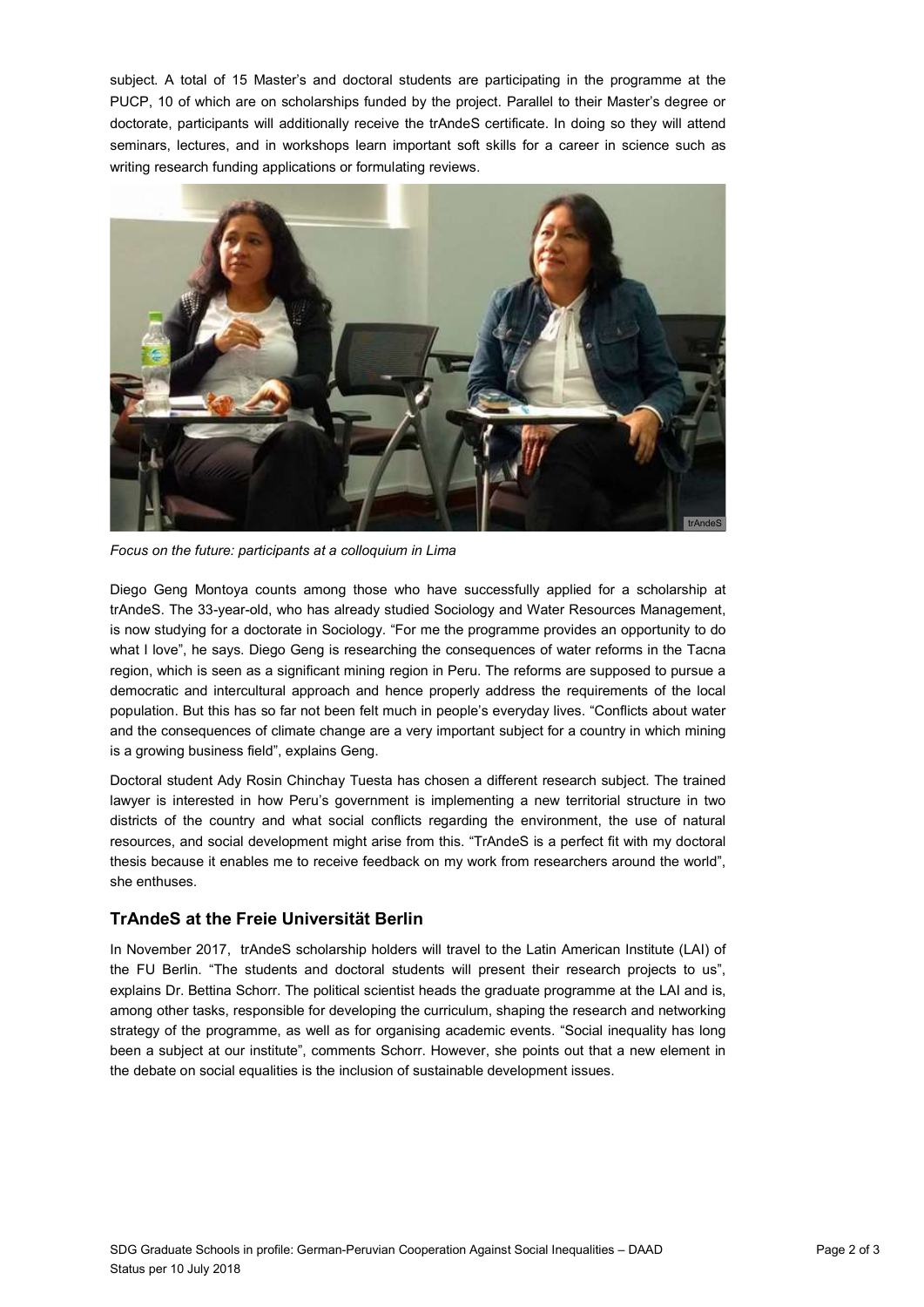subject. A total of 15 Master's and doctoral students are participating in the programme at the PUCP, 10 of which are on scholarships funded by the project. Parallel to their Master's degree or doctorate, participants will additionally receive the trAndeS certificate. In doing so they will attend seminars, lectures, and in workshops learn important soft skills for a career in science such as writing research funding applications or formulating reviews.



Focus on the future: participants at a colloquium in Lima

Diego Geng Montoya counts among those who have successfully applied for a scholarship at trAndeS. The 33-year-old, who has already studied Sociology and Water Resources Management, is now studying for a doctorate in Sociology. "For me the programme provides an opportunity to do what I love", he says. Diego Geng is researching the consequences of water reforms in the Tacna region, which is seen as a significant mining region in Peru. The reforms are supposed to pursue a democratic and intercultural approach and hence properly address the requirements of the local population. But this has so far not been felt much in people's everyday lives. "Conflicts about water and the consequences of climate change are a very important subject for a country in which mining is a growing business field", explains Geng.

Doctoral student Ady Rosin Chinchay Tuesta has chosen a different research subject. The trained lawyer is interested in how Peru's government is implementing a new territorial structure in two districts of the country and what social conflicts regarding the environment, the use of natural resources, and social development might arise from this. "TrAndeS is a perfect fit with my doctoral thesis because it enables me to receive feedback on my work from researchers around the world", she enthuses.

## TrAndeS at the Freie Universität Berlin

In November 2017, trAndeS scholarship holders will travel to the Latin American Institute (LAI) of the FU Berlin. "The students and doctoral students will present their research projects to us", explains Dr. Bettina Schorr. The political scientist heads the graduate programme at the LAI and is, among other tasks, responsible for developing the curriculum, shaping the research and networking strategy of the programme, as well as for organising academic events. "Social inequality has long been a subject at our institute", comments Schorr. However, she points out that a new element in the debate on social equalities is the inclusion of sustainable development issues.